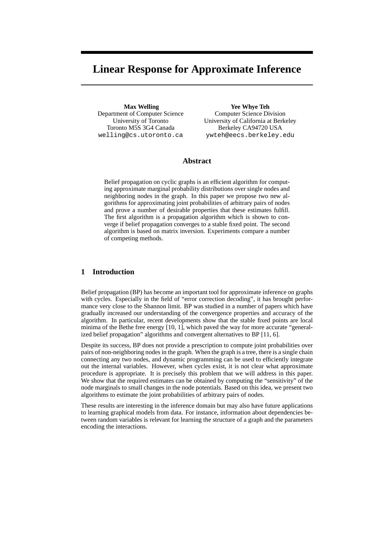# **Linear Response for Approximate Inference**

**Max Welling** Department of Computer Science University of Toronto Toronto M5S 3G4 Canada welling@cs.utoronto.ca

**Yee Whye Teh** Computer Science Division University of California at Berkeley Berkeley CA94720 USA ywteh@eecs.berkeley.edu

# **Abstract**

Belief propagation on cyclic graphs is an efficient algorithm for computing approximate marginal probability distributions over single nodes and neighboring nodes in the graph. In this paper we propose two new algorithms for approximating joint probabilities of arbitrary pairs of nodes and prove a number of desirable properties that these estimates fulfill. The first algorithm is a propagation algorithm which is shown to converge if belief propagation converges to a stable fixed point. The second algorithm is based on matrix inversion. Experiments compare a number of competing methods.

## **1 Introduction**

Belief propagation (BP) has become an important tool for approximate inference on graphs with cycles. Especially in the field of "error correction decoding", it has brought performance very close to the Shannon limit. BP was studied in a number of papers which have gradually increased our understanding of the convergence properties and accuracy of the algorithm. In particular, recent developments show that the stable fixed points are local minima of the Bethe free energy [10, 1], which paved the way for more accurate "generalized belief propagation" algorithms and convergent alternatives to BP [11, 6].

Despite its success, BP does not provide a prescription to compute joint probabilities over pairs of non-neighboring nodes in the graph. When the graph is a tree, there is a single chain connecting any two nodes, and dynamic programming can be used to efficiently integrate out the internal variables. However, when cycles exist, it is not clear what approximate procedure is appropriate. It is precisely this problem that we will address in this paper. We show that the required estimates can be obtained by computing the "sensitivity" of the node marginals to small changes in the node potentials. Based on this idea, we present two algorithms to estimate the joint probabilities of arbitrary pairs of nodes.

These results are interesting in the inference domain but may also have future applications to learning graphical models from data. For instance, information about dependencies between random variables is relevant for learning the structure of a graph and the parameters encoding the interactions.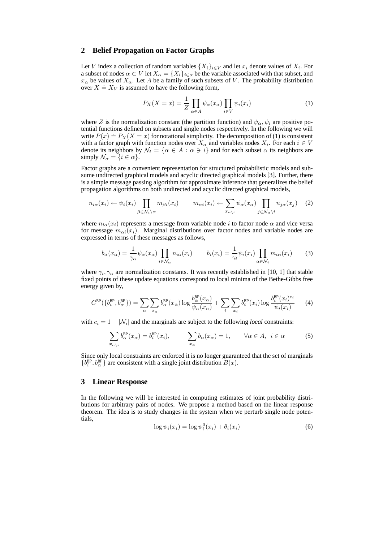#### **2 Belief Propagation on Factor Graphs**

Let V index a collection of random variables  $\{X_i\}_{i\in V}$  and let  $x_i$  denote values of  $X_i$ . For a subset of nodes  $\alpha \subset V$  let  $X_\alpha = \{X_i\}_{i \in \alpha}$  be the variable associated with that subset, and  $x_{\alpha}$  be values of  $X_{\alpha}$ . Let A be a family of such subsets of V. The probability distribution  $x_{\alpha}$  be values of  $X_{\alpha}$ . Let A be a failing of such subsequent  $X = X_V$  is assumed to have the following form,

$$
P_X(X = x) = \frac{1}{Z} \prod_{\alpha \in A} \psi_\alpha(x_\alpha) \prod_{i \in V} \psi_i(x_i)
$$
 (1)

where Z is the normalization constant (the partition function) and  $\psi_{\alpha}$ ,  $\psi_i$  are positive potential functions defined on subsets and single nodes respectively. In the following we will write  $P(x) \doteq P_X(X = x)$  for notational simplicity. The decomposition of (1) is consistent with a factor graph with function nodes over  $X_{\alpha}$  and variables nodes  $X_i$ . For each  $i \in V$ denote its neighbors by  $\mathcal{N}_i = \{ \alpha \in A : \alpha \ni i \}$  and for each subset  $\alpha$  its neighbors are simply  $\mathcal{N}_{\alpha} = \{i \in \alpha\}.$ 

Factor graphs are a convenient representation for structured probabilistic models and subsume undirected graphical models and acyclic directed graphical models [3]. Further, there is a simple message passing algorithm for approximate inference that generalizes the belief propagation algorithms on both undirected and acyclic directed graphical models,

$$
n_{i\alpha}(x_i) \leftarrow \psi_i(x_i) \prod_{\beta \in \mathcal{N}_i \setminus \alpha} m_{\beta i}(x_i) \qquad m_{\alpha i}(x_i) \leftarrow \sum_{x_{\alpha \setminus i}} \psi_{\alpha}(x_{\alpha}) \prod_{j \in \mathcal{N}_{\alpha} \setminus i} n_{j\alpha}(x_j) \quad (2)
$$

where  $n_{i\alpha}(x_i)$  represents a message from variable node i to factor node  $\alpha$  and vice versa for message  $m_{\alpha i}(x_i)$ . Marginal distributions over factor nodes and variable nodes are expressed in terms of these messages as follows,

$$
b_{\alpha}(x_{\alpha}) = \frac{1}{\gamma_{\alpha}} \psi_{\alpha}(x_{\alpha}) \prod_{i \in \mathcal{N}_{\alpha}} n_{i\alpha}(x_i) \qquad b_i(x_i) = \frac{1}{\gamma_i} \psi_i(x_i) \prod_{\alpha \in \mathcal{N}_i} m_{\alpha i}(x_i) \qquad (3)
$$

where  $\gamma_i, \gamma_\alpha$  are normalization constants. It was recently established in [10, 1] that stable fixed points of these update equations correspond to local minima of the Bethe-Gibbs free energy given by,

$$
G^{\text{BP}}(\{b_i^{\text{BP}}, b_\alpha^{\text{BP}}\}) = \sum_{\alpha} \sum_{x_\alpha} b_\alpha^{\text{BP}}(x_\alpha) \log \frac{b_\alpha^{\text{BP}}(x_\alpha)}{\psi_\alpha(x_\alpha)} + \sum_i \sum_{x_i} b_i^{\text{BP}}(x_i) \log \frac{b_i^{\text{BP}}(x_i)^{c_i}}{\psi_i(x_i)}
$$
(4)

with  $c_i = 1 - |\mathcal{N}_i|$  and the marginals are subject to the following *local* constraints:

$$
\sum_{x_{\alpha\backslash i}} b^{\text{BP}}_{\alpha}(x_{\alpha}) = b^{\text{BP}}_{i}(x_{i}), \qquad \sum_{x_{\alpha}} b_{\alpha}(x_{\alpha}) = 1, \qquad \forall \alpha \in A, \ i \in \alpha \tag{5}
$$

Since only local constraints are enforced it is no longer guaranteed that the set of marginals  $\{b_i^{\text{BP}}, b_{\alpha}^{\text{BP}}\}$  are consistent with a single joint distribution  $B(x)$ .

## **3 Linear Response**

In the following we will be interested in computing estimates of joint probability distributions for arbitrary pairs of nodes. We propose a method based on the linear response theorem. The idea is to study changes in the system when we perturb single node potentials,

$$
\log \psi_i(x_i) = \log \psi_i^0(x_i) + \theta_i(x_i)
$$
\n(6)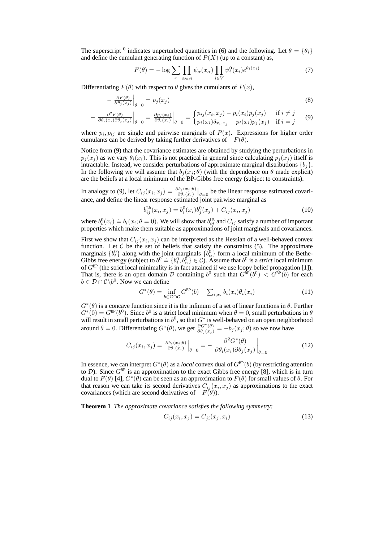The superscript <sup>0</sup> indicates unperturbed quantities in (6) and the following. Let  $\theta = \{\theta_i\}$ and define the cumulant generating function of  $P(X)$  (up to a constant) as,

$$
F(\theta) = -\log \sum_{x} \prod_{\alpha \in A} \psi_{\alpha}(x_{\alpha}) \prod_{i \in V} \psi_{i}^{0}(x_{i}) e^{\theta_{i}(x_{i})}
$$
(7)

Differentiating  $F(\theta)$  with respect to  $\theta$  gives the cumulants of  $P(x)$ , ้

$$
-\left.\frac{\partial F(\theta)}{\partial \theta_j(x_j)}\right|_{\theta=0} = p_j(x_j)
$$
\n(8)

$$
- \left. \frac{\partial^2 F(\theta)}{\partial \theta_i(x_i)\partial \theta_j(x_j)} \right|_{\theta=0} = \left. \frac{\partial p_j(x_j)}{\partial \theta_i(x_i)} \right|_{\theta=0} = \begin{cases} p_{ij}(x_i, x_j) - p_i(x_i)p_j(x_j) & \text{if } i \neq j \\ p_i(x_i)\delta_{x_i, x_j} - p_i(x_i)p_j(x_j) & \text{if } i = j \end{cases} \tag{9}
$$

where  $p_i, p_{ij}$  are single and pairwise marginals of  $P(x)$ . Expressions for higher order cumulants can be derived by taking further derivatives of  $-F(\theta)$ .

Notice from (9) that the covariance estimates are obtained by studying the perturbations in  $p_j(x_j)$  as we vary  $\theta_i(x_i)$ . This is not practical in general since calculating  $p_j(x_j)$  itself is intractable. Instead, we consider perturbations of approximate marginal distributions  $\{b_j\}$ . In the following we will assume that  $b_i(x_i; \theta)$  (with the dependence on  $\theta$  made explicit) are the beliefs at a local minimum of the BP-Gibbs free energy (subject to constraints).

In analogy to (9), let  $C_{ij}(x_i, x_j) = \frac{\partial b_j(x_j; \theta)}{\partial \theta_i(x_i)}$  $\big|_{\theta=0}$  be the linear response estimated covariance, and define the linear response estimated joint pairwise marginal as

$$
b_{ij}^{\text{LR}}(x_i, x_j) = b_i^0(x_i)b_j^0(x_j) + C_{ij}(x_i, x_j)
$$
\n(10)

where  $b_i^0(x_i) \doteq b_i(x_i; \theta = 0)$ . We will show that  $b_{ij}^{\text{LR}}$  and  $C_{ij}$  satisfy a number of important properties which make them suitable as approximations of joint marginals and covariances.

First we show that  $C_{ij}(x_i, x_j)$  can be interpreted as the Hessian of a well-behaved convex function. Let  $C$  be the set of beliefs that satisfy the constraints (5). The approximate marginals  $\{b_i^0\}$  along with the joint marginals  $\{b_\alpha^0\}$  form a local minimum of the Bethemarginals  $\{v_i\}$  along with the joint marginals  $\{o_\alpha\}$  from a local minimum of the Bethe-<br>Gibbs free energy (subject to  $b^0 \doteq \{b_i^0, b_\alpha^0\} \in C$ ). Assume that  $b^0$  is a *strict* local minimum of  $G^{\text{BP}}$  (the strict local minimality is in fact attained if we use loopy belief propagation [1]). That is, there is an open domain D containing  $b^0$  such that  $G^{\dot{\text{BP}}}(b^0) < G^{\dot{\text{BP}}}(b)$  for each  $b \in \mathcal{D} \cap \mathcal{C} \backslash b^0$ . Now we can define

$$
G^*(\theta) = \inf_{b \in \mathcal{D} \cap \mathcal{C}} G^{\text{BP}}(b) - \sum_{i, x_i} b_i(x_i) \theta_i(x_i)
$$
(11)

 $G^*(\theta)$  is a concave function since it is the infimum of a set of linear functions in  $\theta$ . Further  $G^*(0) = G^{\text{BP}}(b^0)$ . Since  $b^0$  is a strict local minimum when  $\theta = 0$ , small perturbations in  $\theta$ will result in small perturbations in  $b^0$ , so that  $G^*$  is well-behaved on an open neighborhood around  $\theta = 0$ . Differentiating  $G^*(\theta)$ , we get  $\frac{\partial G^*(\theta)}{\partial \theta_j(x_j)} = -b_j(x_j; \theta)$  so we now have

$$
C_{ij}(x_i, x_j) = \left. \frac{\partial b_j(x_j; \theta)}{\partial \theta_i(x_i)} \right|_{\theta=0} = -\left. \frac{\partial^2 G^*(\theta)}{\partial \theta_i(x_i) \partial \theta_j(x_j)} \right|_{\theta=0}
$$
(12)

In essence, we can interpret  $G^*(\theta)$  as a *local* convex dual of  $G^{\text{BP}}(b)$  (by restricting attention to D). Since  $G^{\text{BP}}$  is an approximation to the exact Gibbs free energy [8], which is in turn dual to  $F(\theta)$  [4],  $G^*(\theta)$  can be seen as an approximation to  $F(\theta)$  for small values of  $\theta$ . For that reason we can take its second derivatives  $C_{ij}(x_i, x_j)$  as approximations to the exact covariances (which are second derivatives of  $-F(\theta)$ ).

**Theorem 1** *The approximate covariance satisfies the following symmetry:*

$$
C_{ij}(x_i, x_j) = C_{ji}(x_j, x_i)
$$
\n
$$
(13)
$$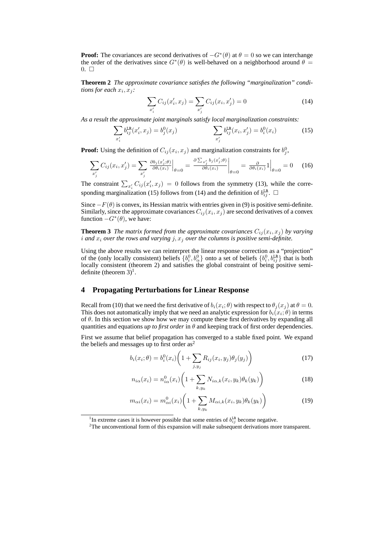**Proof:** The covariances are second derivatives of  $-G^*(\theta)$  at  $\theta = 0$  so we can interchange the order of the derivatives since  $G^*(\theta)$  is well-behaved on a neighborhood around  $\theta =$  $0. \Box$ 

**Theorem 2** *The approximate covariance satisfies the following "marginalization" conditions for each*  $x_i, x_j$ :

$$
\sum_{x'_i} C_{ij}(x'_i, x_j) = \sum_{x'_j} C_{ij}(x_i, x'_j) = 0
$$
\n(14)

As a result the approximate joint marginals satisfy local marginalization constraints:<br>  $\Box$ 

$$
\sum_{x'_i} b_{ij}^{\text{LR}}(x'_i, x_j) = b_j^0(x_j) \qquad \qquad \sum_{x'_j} b_{ij}^{\text{LR}}(x_i, x'_j) = b_i^0(x_i) \qquad (15)
$$

**Proof:** Using the definition of  $C_{ij}(x_i, x_j)$  and marginalization constraints for  $b_j^0$ ,

$$
\sum_{x'_j} C_{ij}(x_i, x'_j) = \sum_{x'_j} \left. \frac{\partial b_j(x'_j, \theta)}{\partial \theta_i(x_i)} \right|_{\theta=0} = \left. \frac{\partial \sum_{x'_j} b_j(x'_j, \theta)}{\partial \theta_i(x_i)} \right|_{\theta=0} = \left. \frac{\partial}{\partial \theta_i(x_i)} 1 \right|_{\theta=0} = 0 \quad (16)
$$

The constraint  $\sum_{x_i'} C_{ij}(x_i', x_j) = 0$  follows from the symmetry (13), while the corresponding marginalization (15) follows from (14) and the definition of  $b_{ij}^{\text{LR}}$ .  $\Box$ 

Since  $-F(\theta)$  is convex, its Hessian matrix with entries given in (9) is positive semi-definite. Similarly, since the approximate covariances  $C_{ij}(x_i, x_j)$  are second derivatives of a convex function  $-G^*(\theta)$ , we have:

**Theorem 3** *The matrix formed from the approximate covariances*  $C_{ij}(x_i, x_j)$  *by varying* i and  $x_i$  *over the rows and varying*  $j, x_j$  *over the columns is positive semi-definite.* 

Using the above results we can reinterpret the linear response correction as a "projection" of the (only locally consistent) beliefs  $\{b_i^0, b_\alpha^0\}$  onto a set of beliefs  $\{b_i^0, b_{ij}^{\text{LR}}\}$  that is both locally consistent (theorem 2) and satisfies the global constraint of being positive semidefinite (theorem  $3)^1$ .

### **4 Propagating Perturbations for Linear Response**

Recall from (10) that we need the first derivative of  $b_i(x_i; \theta)$  with respect to  $\theta_j(x_j)$  at  $\theta = 0$ . This does not automatically imply that we need an analytic expression for  $b_i(x_i;\theta)$  in terms of  $\theta$ . In this section we show how we may compute these first derivatives by expanding all quantities and equations *up to first order* in  $\theta$  and keeping track of first order dependencies.

First we assume that belief propagation has converged to a stable fixed point. We expand the beliefs and messages up to first order as<sup>2</sup>  $\mathbf{r}$ 

$$
b_i(x_i; \theta) = b_i^0(x_i) \left( 1 + \sum_{j, y_j} R_{ij}(x_i, y_j) \theta_j(y_j) \right)
$$
 (17)

$$
n_{i\alpha}(x_i) = n_{i\alpha}^0(x_i) \left( 1 + \sum_{k,y_k} N_{i\alpha,k}(x_i, y_k) \theta_k(y_k) \right)
$$
 (18)

$$
m_{\alpha i}(x_i) = m_{\alpha i}^0(x_i) \left( 1 + \sum_{k,y_k} M_{\alpha i,k}(x_i, y_k) \theta_k(y_k) \right)
$$
(19)

<sup>&</sup>lt;sup>1</sup>In extreme cases it is however possible that some entries of  $b_{ij}^{\text{LR}}$  become negative.

 $2$ The unconventional form of this expansion will make subsequent derivations more transparent.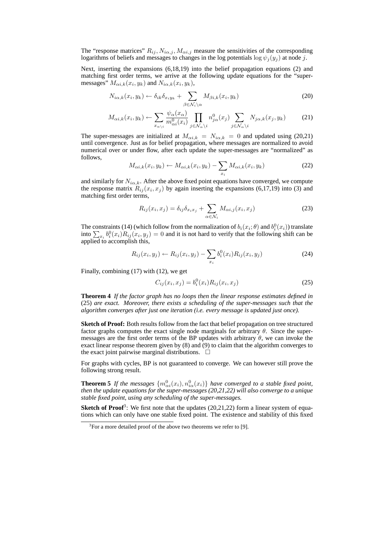The "response matrices"  $R_{ij}$ ,  $N_{i\alpha,j}$ ,  $M_{\alpha i,j}$  measure the sensitivities of the corresponding logarithms of beliefs and messages to changes in the log potentials  $\log \psi_i(y_i)$  at node j.

Next, inserting the expansions (6,18,19) into the belief propagation equations (2) and matching first order terms, we arrive at the following update equations for the "supermessages"  $M_{\alpha i,k}(x_i, y_k)$  and  $N_{i\alpha,k}(x_i, y_k)$ ,

$$
N_{i\alpha,k}(x_i, y_k) \leftarrow \delta_{ik}\delta_{x_iy_k} + \sum_{\beta \in \mathcal{N}_i \backslash \alpha} M_{\beta i,k}(x_i, y_k)
$$
\n(20)

$$
M_{\alpha i,k}(x_i, y_k) \leftarrow \sum_{x_{\alpha\backslash i}} \frac{\psi_{\alpha}(x_{\alpha})}{m_{\alpha i}^0(x_i)} \prod_{j \in \mathcal{N}_{\alpha} \backslash i} n_{j\alpha}^0(x_j) \sum_{j \in \mathcal{N}_{\alpha} \backslash i} N_{j\alpha,k}(x_j, y_k)
$$
(21)

The super-messages are initialized at  $M_{\alpha i,k} = N_{i\alpha,k} = 0$  and updated using (20,21) until convergence. Just as for belief propagation, where messages are normalized to avoid numerical over or under flow, after each update the super-messages are "normalized" as follows,  $\overline{\phantom{a}}$ 

$$
M_{\alpha i,k}(x_i, y_k) \leftarrow M_{\alpha i,k}(x_i, y_k) - \sum_{x_i} M_{\alpha i,k}(x_i, y_k)
$$
\n
$$
(22)
$$

and similarly for  $N_{i\alpha,k}$ . After the above fixed point equations have converged, we compute the response matrix  $R_{ij}(x_i, x_j)$  by again inserting the expansions (6,17,19) into (3) and matching first order terms,

$$
R_{ij}(x_i, x_j) = \delta_{ij}\delta_{x_ix_j} + \sum_{\alpha \in \mathcal{N}_i} M_{\alpha i,j}(x_i, x_j)
$$
 (23)

The constraints (14) (which follow from the normalization of  $b_i(x_i; \theta)$  and  $b_i^0(x_i)$ ) translate I he constraints (14) (which follow from the normalization of  $b_i(x_i; \theta)$  and  $b_i^x(x_i)$ ) translate into  $\sum_{x_i} b_i^0(x_i) R_{ij}(x_i, y_j) = 0$  and it is not hard to verify that the following shift can be applied to accomplish this,

$$
R_{ij}(x_i, y_j) \leftarrow R_{ij}(x_i, y_j) - \sum_{x_i} b_i^0(x_i) R_{ij}(x_i, y_j)
$$
 (24)

Finally, combining (17) with (12), we get

$$
C_{ij}(x_i, x_j) = b_i^0(x_i) R_{ij}(x_i, x_j)
$$
\n(25)

**Theorem 4** *If the factor graph has no loops then the linear response estimates defined in* (25) *are exact. Moreover, there exists a scheduling of the super-messages such that the algorithm converges after just one iteration (i.e. every message is updated just once).*

**Sketch of Proof:** Both results follow from the fact that belief propagation on tree structured factor graphs computes the exact single node marginals for arbitrary  $\theta$ . Since the supermessages are the first order terms of the BP updates with arbitrary  $\theta$ , we can invoke the exact linear response theorem given by (8) and (9) to claim that the algorithm converges to the exact joint pairwise marginal distributions.  $\Box$ 

For graphs with cycles, BP is not guaranteed to converge. We can however still prove the following strong result.

**Theorem 5** *If the messages*  $\{m_{\alpha i}^0(x_i), n_{i\alpha}^0(x_i)\}$  *have converged to a stable fixed point, then the update equations for the super-messages (20,21,22) will also converge to a unique stable fixed point, using any scheduling of the super-messages.*

**Sketch of Proof**<sup>3</sup>: We first note that the updates (20,21,22) form a linear system of equations which can only have one stable fixed point. The existence and stability of this fixed

 $3$ For a more detailed proof of the above two theorems we refer to [9].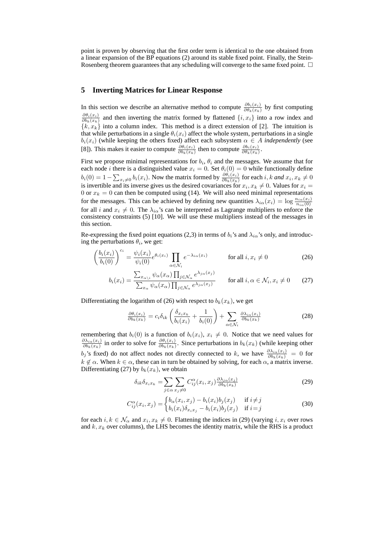point is proven by observing that the first order term is identical to the one obtained from a linear expansion of the BP equations (2) around its stable fixed point. Finally, the Stein-Rosenberg theorem guarantees that any scheduling will converge to the same fixed point.  $\Box$ 

# **5 Inverting Matrices for Linear Response**

In this section we describe an alternative method to compute  $\frac{\partial b_i(x_i)}{\partial \theta_k(x_k)}$  by first computing  $\partial \theta_i(x_i)$  $\frac{\partial \theta_i(x_i)}{\partial b_k(x_k)}$  and then inverting the matrix formed by flattened  $\{i, x_i\}$  into a row index and  ${k, x_k}$  into a column index. This method is a direct extension of [2]. The intuition is that while perturbations in a single  $\theta_i(x_i)$  affect the whole system, perturbations in a single  $b_i(x_i)$  (while keeping the others fixed) affect each subsystem  $\alpha \in A$  *independently* (see [8]). This makes it easier to compute  $\frac{\partial \theta_i(x_i)}{\partial b_k(x_k)}$  then to compute  $\frac{\partial b_i(x_i)}{\partial \theta_k(x_k)}$ .

First we propose minimal representations for  $b_i$ ,  $\theta_i$  and the messages. We assume that for each node *i* there is a distinguished value  $x_i = 0$ . Set  $\theta_i(0) = 0$  while functionally define  $b_i(0) = 1 - \sum_{x_i \neq 0} b_i(x_i)$ . Now the matrix formed by  $\frac{\partial \theta_i(x_i)}{\partial b_k(x_k)}$  for each i, k and  $x_i, x_k \neq 0$ is invertible and its inverse gives us the desired covariances for  $x_i, x_k \neq 0$ . Values for  $x_i =$ 0 or  $x_k = 0$  can then be computed using (14). We will also need minimal representations for the messages. This can be achieved by defining new quantities  $\lambda_{i\alpha}(x_i) = \log \frac{n_{i\alpha}(x_i)}{n_{i\alpha}(0)}$ for all i and  $x_i \neq 0$ . The  $\lambda_{i\alpha}$ 's can be interpreted as Lagrange multipliers to enforce the consistency constraints (5) [10]. We will use these multipliers instead of the messages in this section.

Re-expressing the fixed point equations (2,3) in terms of  $b_i$ 's and  $\lambda_{i\alpha}$ 's only, and introducing the perturbations  $\theta_i$ , we get:

$$
\left(\frac{b_i(x_i)}{b_i(0)}\right)^{c_i} = \frac{\psi_i(x_i)}{\psi_i(0)} e^{\theta_i(x_i)} \prod_{\alpha \in \mathcal{N}_i} e^{-\lambda_{i\alpha}(x_i)} \qquad \text{for all } i, x_i \neq 0 \tag{26}
$$

$$
b_i(x_i) = \frac{\sum_{x_{\alpha\backslash i}} \psi_{\alpha}(x_{\alpha}) \prod_{j \in \mathcal{N}_{\alpha}} e^{\lambda_{j\alpha}(x_j)}}{\sum_{x_{\alpha}} \psi_{\alpha}(x_{\alpha}) \prod_{j \in \mathcal{N}_{\alpha}} e^{\lambda_{j\alpha}(x_j)}} \quad \text{for all } i, \alpha \in \mathcal{N}_i, x_i \neq 0 \quad (27)
$$

Differentiating the logarithm of (26) with respect to  $b_k(x_k)$ , we get

$$
\frac{\partial \theta_i(x_i)}{\partial b_k(x_k)} = c_i \delta_{ik} \left( \frac{\delta_{x_i x_k}}{b_i(x_i)} + \frac{1}{b_i(0)} \right) + \sum_{\alpha \in \mathcal{N}_i} \frac{\partial \lambda_{i\alpha}(x_i)}{\partial b_k(x_k)}
$$
(28)

remembering that  $b_i(0)$  is a function of  $b_i(x_i)$ ,  $x_i \neq 0$ . Notice that we need values for  $\partial \lambda_{i\alpha}(x_i)$  $\frac{\partial \lambda_{i\alpha}(x_i)}{\partial b_k(x_k)}$  in order to solve for  $\frac{\partial \theta_i(x_i)}{\partial b_k(x_k)}$ . Since perturbations in  $b_k(x_k)$  (while keeping other  $b_j$ 's fixed) do not affect nodes not directly connected to k, we have  $\frac{\partial \lambda_{i\alpha}(x_i)}{\partial b_k(x_k)} = 0$  for  $k \notin \alpha$ . When  $k \in \alpha$ , these can in turn be obtained by solving, for each  $\alpha$ , a matrix inverse. Differentiating (27) by  $b_k(x_k)$ , we obtain

$$
\delta_{ik}\delta_{x_ix_k} = \sum_{j \in \alpha} \sum_{x_j \neq 0} C_{ij}^{\alpha}(x_i, x_j) \frac{\partial \lambda_{j\alpha}(x_j)}{\partial b_k(x_k)}
$$
(29)

$$
C_{ij}^{\alpha}(x_i, x_j) = \begin{cases} b_{\alpha}(x_i, x_j) - b_i(x_i)b_j(x_j) & \text{if } i \neq j \\ b_i(x_i)\delta_{x_i x_j} - b_i(x_i)b_j(x_j) & \text{if } i = j \end{cases}
$$
(30)

for each  $i, k \in \mathcal{N}_\alpha$  and  $x_i, x_k \neq 0$ . Flattening the indices in (29) (varying  $i, x_i$  over rows and  $k, x_k$  over columns), the LHS becomes the identity matrix, while the RHS is a product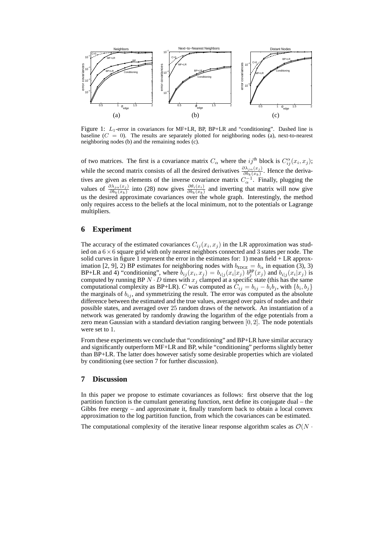

Figure 1: L<sub>1</sub>-error in covariances for MF+LR, BP, BP+LR and "conditioning". Dashed line is baseline  $(C = 0)$ . The results are separately plotted for neighboring nodes (a), next-to-nearest neighboring nodes (b) and the remaining nodes (c).

of two matrices. The first is a covariance matrix  $C_{\alpha}$  where the ij<sup>th</sup> block is  $C_{ij}^{\alpha}(x_i, x_j)$ ; while the second matrix consists of all the desired derivatives  $\frac{\partial \lambda_{j\alpha}(x_j)}{\partial b_k(x_k)}$ . Hence the derivatives are given as elements of the inverse covariance matrix  $C_{\alpha}^{-1}$ . Finally, plugging the values of  $\frac{\partial \lambda_{j\alpha}(x_j)}{\partial b_k(x_k)}$  into (28) now gives  $\frac{\partial \theta_i(x_i)}{\partial b_k(x_k)}$  and inverting that matrix will now give us the desired approximate covariances over the whole graph. Interestingly, the method only requires access to the beliefs at the local minimum, not to the potentials or Lagrange multipliers.

# **6 Experiment**

The accuracy of the estimated covariances  $C_{ij}(x_i, x_j)$  in the LR approximation was studied on a  $6 \times 6$  square grid with only nearest neighbors connected and 3 states per node. The solid curves in figure 1 represent the error in the estimates for: 1) mean field  $+ LR$  approximation [2, 9], 2) BP estimates for neighboring nodes with  $b_{\text{EDGE}} = b_{\alpha}$  in equation (3), 3) BP+LR and 4) "conditioning", where  $b_{ij}(x_i, x_j) = b_{i|j}(x_i|x_j) b_j^{BP}(x_j)$  and  $b_{i|j}(x_i|x_j)$  is computed by running BP  $N \cdot D$  times with  $x_j$  clamped at a specific state (this has the same computational complexity as BP+LR). C was computed as  $C_{ij} = b_{ij} - b_i b_j$ , with  $\{b_i, b_j\}$ the marginals of  $b_{ij}$ , and symmetrizing the result. The error was computed as the absolute difference between the estimated and the true values, averaged over pairs of nodes and their possible states, and averaged over 25 random draws of the network. An instantiation of a network was generated by randomly drawing the logarithm of the edge potentials from a zero mean Gaussian with a standard deviation ranging between [0, 2]. The node potentials were set to 1.

From these experiments we conclude that "conditioning" and BP+LR have similar accuracy and significantly outperform MF+LR and BP, while "conditioning" performs slightly better than BP+LR. The latter does however satisfy some desirable properties which are violated by conditioning (see section 7 for further discussion).

# **7 Discussion**

In this paper we propose to estimate covariances as follows: first observe that the log partition function is the cumulant generating function, next define its conjugate dual – the Gibbs free energy – and approximate it, finally transform back to obtain a local convex approximation to the log partition function, from which the covariances can be estimated.

The computational complexity of the iterative linear response algorithm scales as  $\mathcal{O}(N \cdot \mathbf{R})$